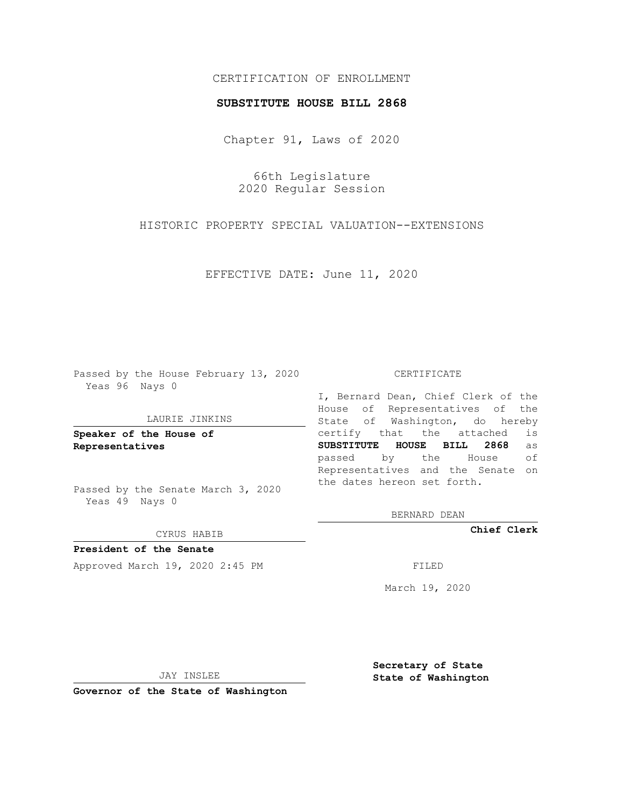# CERTIFICATION OF ENROLLMENT

### **SUBSTITUTE HOUSE BILL 2868**

Chapter 91, Laws of 2020

66th Legislature 2020 Regular Session

HISTORIC PROPERTY SPECIAL VALUATION--EXTENSIONS

EFFECTIVE DATE: June 11, 2020

Passed by the House February 13, 2020 Yeas 96 Nays 0

### LAURIE JINKINS

**Speaker of the House of Representatives**

Passed by the Senate March 3, 2020 Yeas 49 Nays 0

#### CYRUS HABIB

**President of the Senate** Approved March 19, 2020 2:45 PM

#### CERTIFICATE

I, Bernard Dean, Chief Clerk of the House of Representatives of the State of Washington, do hereby certify that the attached is **SUBSTITUTE HOUSE BILL 2868** as passed by the House of Representatives and the Senate on the dates hereon set forth.

BERNARD DEAN

**Chief Clerk**

March 19, 2020

JAY INSLEE

**Governor of the State of Washington**

**Secretary of State State of Washington**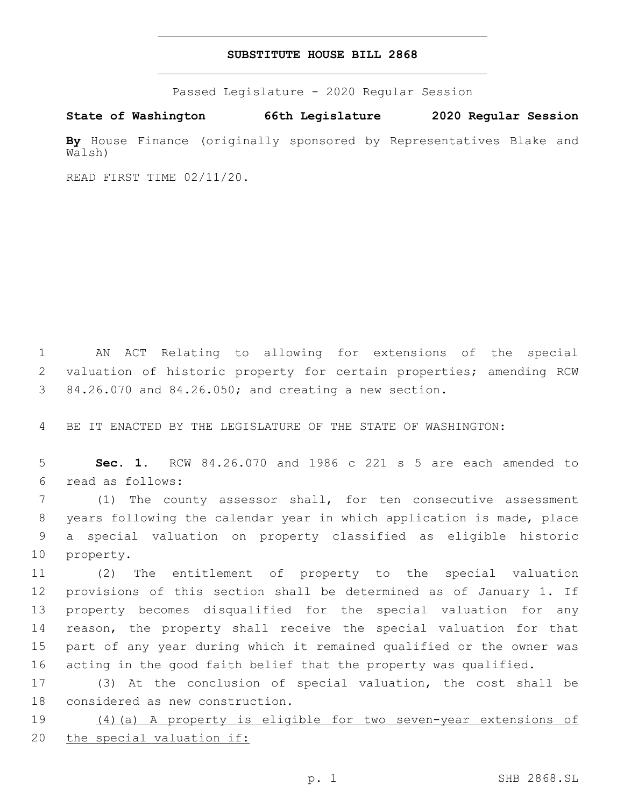# **SUBSTITUTE HOUSE BILL 2868**

Passed Legislature - 2020 Regular Session

**State of Washington 66th Legislature 2020 Regular Session**

**By** House Finance (originally sponsored by Representatives Blake and Walsh)

READ FIRST TIME 02/11/20.

 AN ACT Relating to allowing for extensions of the special valuation of historic property for certain properties; amending RCW 84.26.070 and 84.26.050; and creating a new section.

BE IT ENACTED BY THE LEGISLATURE OF THE STATE OF WASHINGTON:

 **Sec. 1.** RCW 84.26.070 and 1986 c 221 s 5 are each amended to read as follows:6

 (1) The county assessor shall, for ten consecutive assessment years following the calendar year in which application is made, place a special valuation on property classified as eligible historic 10 property.

 (2) The entitlement of property to the special valuation provisions of this section shall be determined as of January 1. If property becomes disqualified for the special valuation for any reason, the property shall receive the special valuation for that part of any year during which it remained qualified or the owner was acting in the good faith belief that the property was qualified.

 (3) At the conclusion of special valuation, the cost shall be 18 considered as new construction.

 (4)(a) A property is eligible for two seven-year extensions of the special valuation if: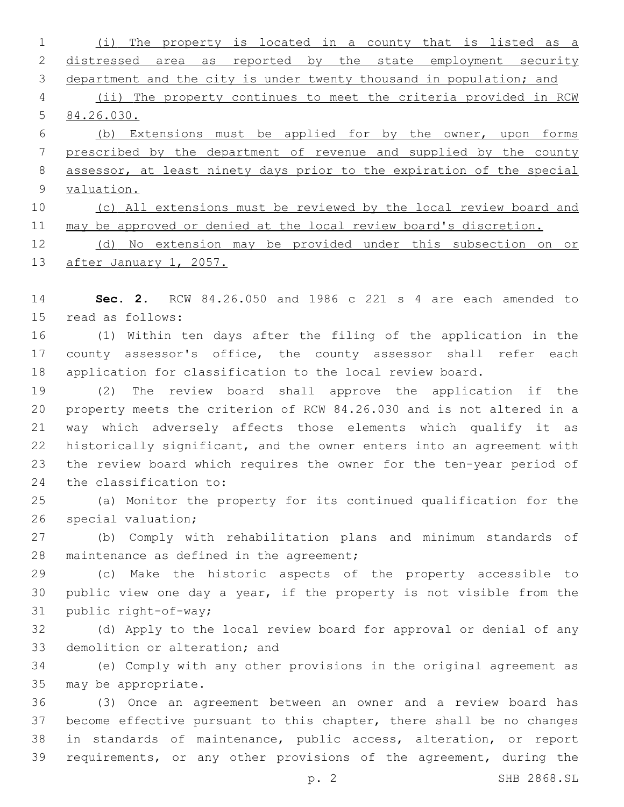(i) The property is located in a county that is listed as a 2 distressed area as reported by the state employment security department and the city is under twenty thousand in population; and (ii) The property continues to meet the criteria provided in RCW 84.26.030. (b) Extensions must be applied for by the owner, upon forms prescribed by the department of revenue and supplied by the county assessor, at least ninety days prior to the expiration of the special valuation. (c) All extensions must be reviewed by the local review board and 11 may be approved or denied at the local review board's discretion. (d) No extension may be provided under this subsection on or

13 after January 1, 2057.

 **Sec. 2.** RCW 84.26.050 and 1986 c 221 s 4 are each amended to 15 read as follows:

 (1) Within ten days after the filing of the application in the 17 county assessor's office, the county assessor shall refer each application for classification to the local review board.

 (2) The review board shall approve the application if the property meets the criterion of RCW 84.26.030 and is not altered in a way which adversely affects those elements which qualify it as historically significant, and the owner enters into an agreement with the review board which requires the owner for the ten-year period of 24 the classification to:

 (a) Monitor the property for its continued qualification for the 26 special valuation;

 (b) Comply with rehabilitation plans and minimum standards of 28 maintenance as defined in the agreement;

 (c) Make the historic aspects of the property accessible to public view one day a year, if the property is not visible from the 31 public right-of-way;

 (d) Apply to the local review board for approval or denial of any 33 demolition or alteration; and

 (e) Comply with any other provisions in the original agreement as 35 may be appropriate.

 (3) Once an agreement between an owner and a review board has become effective pursuant to this chapter, there shall be no changes in standards of maintenance, public access, alteration, or report requirements, or any other provisions of the agreement, during the

p. 2 SHB 2868.SL